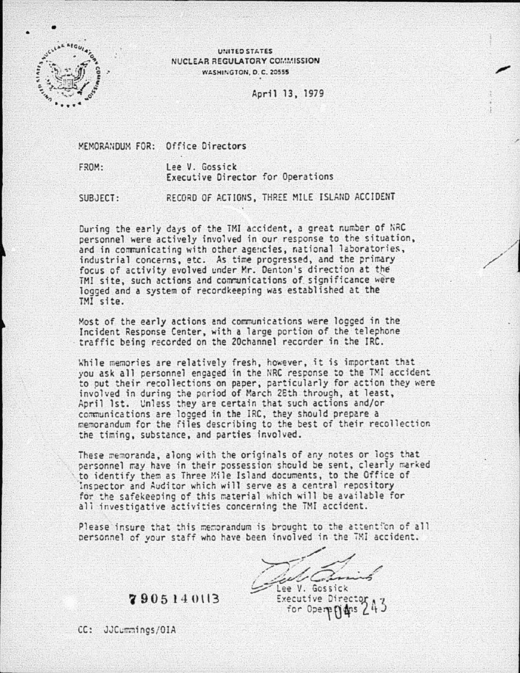

V~HTEO ST.I.T£S NUCLEAR REGULATORY COMMISSION WASHINGTON, D. C. 20555

April 13, 1979

MEMORANDUM FOR: Office Directors

FROM: Lee V. Gossick Executive Director for Operations

SUBJECT: RECORD OF ACTIONS, THREE MILE ISLAND ACCIDENT

During the early days of the TMI accident, a great number of NRC personnel were actively involved in our response to the situation, ard in communicating with other agencies, national laboratories, industrial concerns, etc. As time progressed, and the primary focus of activity evolved under Mr. Denton's direction at the TMI site, such actions and communications of significance were logged and a system of recordkeeping was established at the TMI site.

Most of the early actions and communications were legged in the Incident Response Center, with a large portion of the telephone · traffic being recorded on the 20channel recorder in the IRC.

While memories are relatively fresh, however, it is important that you ask all personnel engaged in the NRC response to the TMI accident to put their recollections on paper, particularly for action they were involved in during the period of March 2Eth through, at least, April 1st. Unless they are certain that such actions and/or communications are logged in the IRC, they should prepare a memorandum for the files describing to the best of their recollection the timing, substance, and parties involved.

These memoranda, along with the originals of any notes or logs that personnel may have in their possession should be sent, clearly marked · to identify them as Three Xile Island documents, to the Office of Inspector and Auditor which will serve as a central repository for the safekeeping of this material which will be available for all investigative activities concerning the TMI accident.

Please insure that this memorandum is brought to the attention of all Please insure that this memorandum is brought to the attention of a<br>personnel of your staff who have been involved in the TMI accident.

,.,.,  $>$ ,  $/$ ,  $/$  ... au Camis ee V. Gossick

Executive Direc for Opere

**'i9 05 l -!0\13** 

CC: JJCummings/OIA